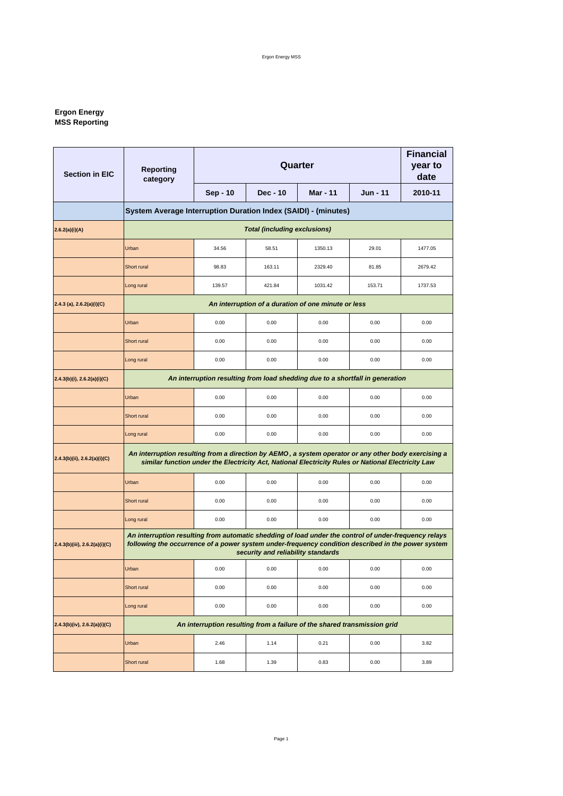#### **Ergon Energy MSS Reporting**

| <b>Section in EIC</b>             | <b>Reporting</b><br>category                                                                                                                                                                                                                      |                                                                          | <b>Financial</b><br>year to<br>date                 |                 |                 |         |
|-----------------------------------|---------------------------------------------------------------------------------------------------------------------------------------------------------------------------------------------------------------------------------------------------|--------------------------------------------------------------------------|-----------------------------------------------------|-----------------|-----------------|---------|
|                                   |                                                                                                                                                                                                                                                   | Sep - 10                                                                 | Dec - 10                                            | <b>Mar - 11</b> | <b>Jun - 11</b> | 2010-11 |
|                                   | System Average Interruption Duration Index (SAIDI) - (minutes)                                                                                                                                                                                    |                                                                          |                                                     |                 |                 |         |
| 2.6.2(a)(i)(A)                    |                                                                                                                                                                                                                                                   |                                                                          | <b>Total (including exclusions)</b>                 |                 |                 |         |
|                                   | Urban                                                                                                                                                                                                                                             | 34.56                                                                    | 58.51                                               | 1350.13         | 29.01           | 1477.05 |
|                                   | Short rural                                                                                                                                                                                                                                       | 98.83                                                                    | 163.11                                              | 2329.40         | 81.85           | 2679.42 |
|                                   | Long rural                                                                                                                                                                                                                                        | 139.57                                                                   | 421.84                                              | 1031.42         | 153.71          | 1737.53 |
| (2.4.3(a), 2.6.2(a)(i)(C))        |                                                                                                                                                                                                                                                   |                                                                          | An interruption of a duration of one minute or less |                 |                 |         |
|                                   | Urban                                                                                                                                                                                                                                             | 0.00                                                                     | 0.00                                                | 0.00            | 0.00            | 0.00    |
|                                   | Short rural                                                                                                                                                                                                                                       | 0.00                                                                     | 0.00                                                | 0.00            | 0.00            | 0.00    |
|                                   | Long rural                                                                                                                                                                                                                                        | 0.00                                                                     | 0.00                                                | 0.00            | 0.00            | 0.00    |
| $2.4.3(b)(i)$ , $2.6.2(a)(i)(C)$  | An interruption resulting from load shedding due to a shortfall in generation                                                                                                                                                                     |                                                                          |                                                     |                 |                 |         |
|                                   | Urban                                                                                                                                                                                                                                             | 0.00                                                                     | 0.00                                                | 0.00            | 0.00            | 0.00    |
|                                   | Short rural                                                                                                                                                                                                                                       | 0.00                                                                     | 0.00                                                | 0.00            | 0.00            | 0.00    |
|                                   | Long rural                                                                                                                                                                                                                                        | 0.00                                                                     | 0.00                                                | 0.00            | 0.00            | 0.00    |
| 2.4.3(b)(ii), 2.6.2(a)(i)(C)      | An interruption resulting from a direction by AEMO, a system operator or any other body exercising a<br>similar function under the Electricity Act, National Electricity Rules or National Electricity Law                                        |                                                                          |                                                     |                 |                 |         |
|                                   | Urban                                                                                                                                                                                                                                             | 0.00                                                                     | 0.00                                                | 0.00            | 0.00            | 0.00    |
|                                   | Short rural                                                                                                                                                                                                                                       | 0.00                                                                     | 0.00                                                | 0.00            | 0.00            | 0.00    |
|                                   | Long rural                                                                                                                                                                                                                                        | 0.00                                                                     | 0.00                                                | 0.00            | 0.00            | 0.00    |
| 2.4.3(b)(iii), 2.6.2(a)(i)(C)     | An interruption resulting from automatic shedding of load under the control of under-frequency relays<br>following the occurrence of a power system under-frequency condition described in the power system<br>security and reliability standards |                                                                          |                                                     |                 |                 |         |
|                                   | Urban                                                                                                                                                                                                                                             | 0.00                                                                     | 0.00                                                | 0.00            | 0.00            | 0.00    |
|                                   | Short rural                                                                                                                                                                                                                                       | 0.00                                                                     | 0.00                                                | 0.00            | 0.00            | 0.00    |
|                                   | Long rural                                                                                                                                                                                                                                        | 0.00                                                                     | 0.00                                                | 0.00            | 0.00            | 0.00    |
| $2.4.3(b)(iv)$ , $2.6.2(a)(i)(C)$ |                                                                                                                                                                                                                                                   | An interruption resulting from a failure of the shared transmission grid |                                                     |                 |                 |         |
|                                   | Urban                                                                                                                                                                                                                                             | 2.46                                                                     | 1.14                                                | 0.21            | 0.00            | 3.82    |
|                                   | Short rural                                                                                                                                                                                                                                       | 1.68                                                                     | 1.39                                                | 0.83            | 0.00            | 3.89    |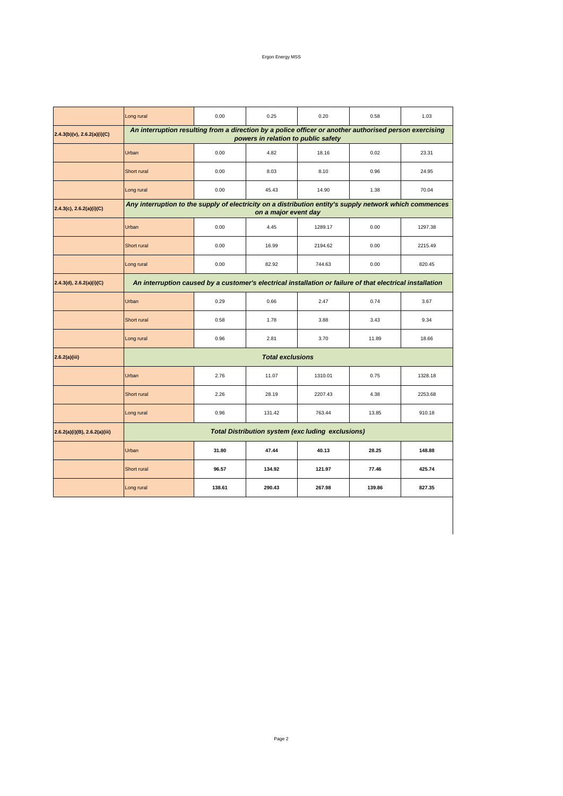## Ergon Energy MSS

|                                  | Long rural                                                                                                                                    | 0.00   | 0.25                    | 0.20    | 0.58   | 1.03    |  |  |
|----------------------------------|-----------------------------------------------------------------------------------------------------------------------------------------------|--------|-------------------------|---------|--------|---------|--|--|
| $2.4.3(b)(v)$ , 2.6.2(a)(i)(C)   | An interruption resulting from a direction by a police officer or another authorised person exercising<br>powers in relation to public safety |        |                         |         |        |         |  |  |
|                                  | Urban                                                                                                                                         | 0.00   | 4.82                    | 18.16   | 0.02   | 23.31   |  |  |
|                                  | Short rural                                                                                                                                   | 0.00   | 8.03                    | 8.10    | 0.96   | 24.95   |  |  |
|                                  | Long rural                                                                                                                                    | 0.00   | 45.43                   | 14.90   | 1.38   | 70.04   |  |  |
| $2.4.3(c)$ , 2.6.2(a)(i)(C)      | Any interruption to the supply of electricity on a distribution entity's supply network which commences<br>on a major event day               |        |                         |         |        |         |  |  |
|                                  | Urban                                                                                                                                         | 0.00   | 4.45                    | 1289.17 | 0.00   | 1297.38 |  |  |
|                                  | Short rural                                                                                                                                   | 0.00   | 16.99                   | 2194.62 | 0.00   | 2215.49 |  |  |
|                                  | Long rural                                                                                                                                    | 0.00   | 82.92                   | 744.63  | 0.00   | 820.45  |  |  |
| 2.4.3(d), 2.6.2(a)(i)(C)         | An interruption caused by a customer's electrical installation or failure of that electrical installation                                     |        |                         |         |        |         |  |  |
|                                  | Urban                                                                                                                                         | 0.29   | 0.66                    | 2.47    | 0.74   | 3.67    |  |  |
|                                  | Short rural                                                                                                                                   | 0.58   | 1.78                    | 3.88    | 3.43   | 9.34    |  |  |
|                                  | Long rural                                                                                                                                    | 0.96   | 2.81                    | 3.70    | 11.89  | 18.66   |  |  |
| 2.6.2(a)(iii)                    |                                                                                                                                               |        | <b>Total exclusions</b> |         |        |         |  |  |
|                                  | Urban                                                                                                                                         | 2.76   | 11.07                   | 1310.01 | 0.75   | 1328.18 |  |  |
|                                  | Short rural                                                                                                                                   | 2.26   | 28.19                   | 2207.43 | 4.38   | 2253.68 |  |  |
|                                  | Long rural                                                                                                                                    | 0.96   | 131.42                  | 763.44  | 13.85  | 910.18  |  |  |
| $2.6.2(a)(i)(B)$ , 2.6.2(a)(iii) | <b>Total Distribution system (exc luding exclusions)</b>                                                                                      |        |                         |         |        |         |  |  |
|                                  | Urban                                                                                                                                         | 31.80  | 47.44                   | 40.13   | 28.25  | 148.88  |  |  |
|                                  | Short rural                                                                                                                                   | 96.57  | 134.92                  | 121.97  | 77.46  | 425.74  |  |  |
|                                  | Long rural                                                                                                                                    | 138.61 | 290.43                  | 267.98  | 139.86 | 827.35  |  |  |
|                                  |                                                                                                                                               |        |                         |         |        |         |  |  |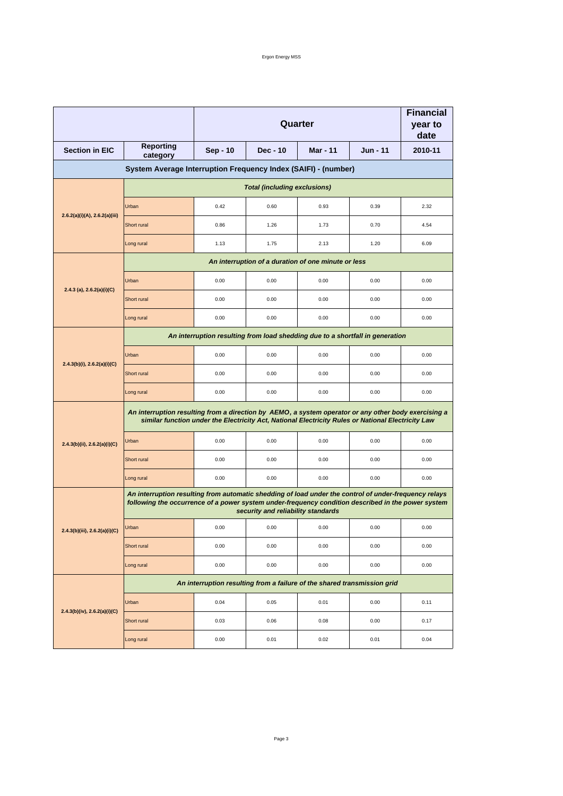|                                  |                                                                                                                                                                                                                                                   | Quarter                                                                  |          |                                                     |                 | <b>Financial</b><br>year to<br>date |  |
|----------------------------------|---------------------------------------------------------------------------------------------------------------------------------------------------------------------------------------------------------------------------------------------------|--------------------------------------------------------------------------|----------|-----------------------------------------------------|-----------------|-------------------------------------|--|
| <b>Section in EIC</b>            | <b>Reporting</b><br>category                                                                                                                                                                                                                      | Sep - 10                                                                 | Dec - 10 | <b>Mar - 11</b>                                     | <b>Jun - 11</b> | 2010-11                             |  |
|                                  | System Average Interruption Frequency Index (SAIFI) - (number)                                                                                                                                                                                    |                                                                          |          |                                                     |                 |                                     |  |
|                                  | <b>Total (including exclusions)</b>                                                                                                                                                                                                               |                                                                          |          |                                                     |                 |                                     |  |
|                                  | Urban                                                                                                                                                                                                                                             | 0.42                                                                     | 0.60     | 0.93                                                | 0.39            | 2.32                                |  |
| 2.6.2(a)(i)(A), 2.6.2(a)(iii)    | Short rural                                                                                                                                                                                                                                       | 0.86                                                                     | 1.26     | 1.73                                                | 0.70            | 4.54                                |  |
|                                  | Long rural                                                                                                                                                                                                                                        | 1.13                                                                     | 1.75     | 2.13                                                | 1.20            | 6.09                                |  |
|                                  |                                                                                                                                                                                                                                                   |                                                                          |          | An interruption of a duration of one minute or less |                 |                                     |  |
|                                  | Urban                                                                                                                                                                                                                                             | 0.00                                                                     | 0.00     | 0.00                                                | 0.00            | 0.00                                |  |
| 2.4.3 (a), $2.6.2(a)(i)(C)$      | Short rural                                                                                                                                                                                                                                       | 0.00                                                                     | 0.00     | 0.00                                                | 0.00            | 0.00                                |  |
|                                  | Long rural                                                                                                                                                                                                                                        | 0.00                                                                     | 0.00     | 0.00                                                | 0.00            | 0.00                                |  |
|                                  | An interruption resulting from load shedding due to a shortfall in generation                                                                                                                                                                     |                                                                          |          |                                                     |                 |                                     |  |
|                                  | Urban                                                                                                                                                                                                                                             | 0.00                                                                     | 0.00     | 0.00                                                | 0.00            | 0.00                                |  |
| $2.4.3(b)(i)$ , $2.6.2(a)(i)(C)$ | Short rural                                                                                                                                                                                                                                       | 0.00                                                                     | 0.00     | 0.00                                                | 0.00            | 0.00                                |  |
|                                  | Long rural                                                                                                                                                                                                                                        | 0.00                                                                     | 0.00     | 0.00                                                | 0.00            | 0.00                                |  |
|                                  | An interruption resulting from a direction by AEMO, a system operator or any other body exercising a<br>similar function under the Electricity Act, National Electricity Rules or National Electricity Law                                        |                                                                          |          |                                                     |                 |                                     |  |
| 2.4.3(b)(ii), 2.6.2(a)(i)(C)     | Urban                                                                                                                                                                                                                                             | 0.00                                                                     | 0.00     | 0.00                                                | 0.00            | 0.00                                |  |
|                                  | Short rural                                                                                                                                                                                                                                       | 0.00                                                                     | 0.00     | 0.00                                                | 0.00            | 0.00                                |  |
|                                  | Long rural                                                                                                                                                                                                                                        | 0.00                                                                     | 0.00     | 0.00                                                | 0.00            | 0.00                                |  |
|                                  | An interruption resulting from automatic shedding of load under the control of under-frequency relays<br>following the occurrence of a power system under-frequency condition described in the power system<br>security and reliability standards |                                                                          |          |                                                     |                 |                                     |  |
| 2.4.3(b)(iii), 2.6.2(a)(i)(C)    | Urban                                                                                                                                                                                                                                             | 0.00                                                                     | 0.00     | 0.00                                                | 0.00            | 0.00                                |  |
|                                  | Short rural                                                                                                                                                                                                                                       | 0.00                                                                     | 0.00     | 0.00                                                | 0.00            | 0.00                                |  |
|                                  | Long rural                                                                                                                                                                                                                                        | 0.00                                                                     | 0.00     | 0.00                                                | 0.00            | 0.00                                |  |
|                                  |                                                                                                                                                                                                                                                   | An interruption resulting from a failure of the shared transmission grid |          |                                                     |                 |                                     |  |
| 2.4.3(b)(iv), 2.6.2(a)(i)(C)     | Urban                                                                                                                                                                                                                                             | 0.04                                                                     | 0.05     | 0.01                                                | 0.00            | 0.11                                |  |
|                                  | Short rural                                                                                                                                                                                                                                       | 0.03                                                                     | 0.06     | 0.08                                                | 0.00            | 0.17                                |  |
|                                  | Long rural                                                                                                                                                                                                                                        | 0.00                                                                     | 0.01     | 0.02                                                | 0.01            | 0.04                                |  |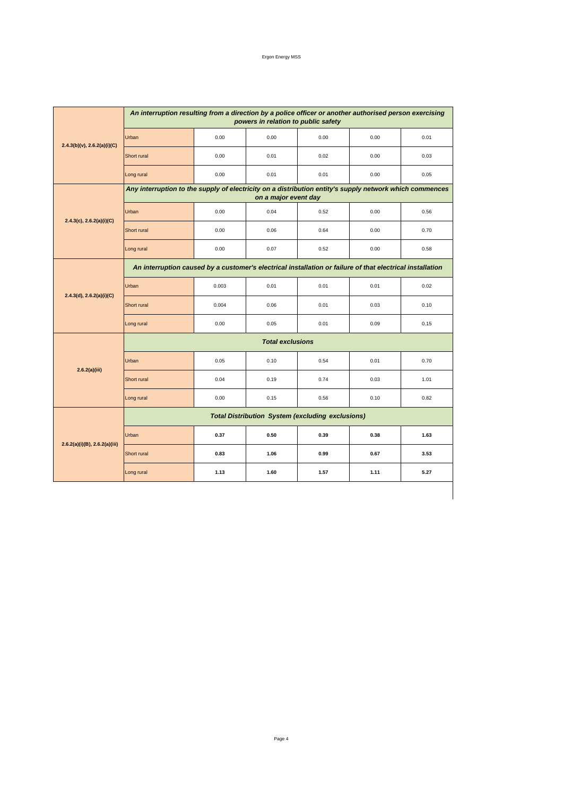| Ergon Energy MSS |  |
|------------------|--|
|                  |  |

|                               | An interruption resulting from a direction by a police officer or another authorised person exercising<br>powers in relation to public safety |       |      |      |      |      |  |  |  |
|-------------------------------|-----------------------------------------------------------------------------------------------------------------------------------------------|-------|------|------|------|------|--|--|--|
| 2.4.3(b)(v), 2.6.2(a)(i)(C)   | Urban                                                                                                                                         | 0.00  | 0.00 | 0.00 | 0.00 | 0.01 |  |  |  |
|                               | Short rural                                                                                                                                   | 0.00  | 0.01 | 0.02 | 0.00 | 0.03 |  |  |  |
|                               | Long rural                                                                                                                                    | 0.00  | 0.01 | 0.01 | 0.00 | 0.05 |  |  |  |
|                               | Any interruption to the supply of electricity on a distribution entity's supply network which commences<br>on a major event day               |       |      |      |      |      |  |  |  |
|                               | Urban                                                                                                                                         | 0.00  | 0.04 | 0.52 | 0.00 | 0.56 |  |  |  |
| 2.4.3(c), 2.6.2(a)(i)(C)      | Short rural                                                                                                                                   | 0.00  | 0.06 | 0.64 | 0.00 | 0.70 |  |  |  |
|                               | Long rural                                                                                                                                    | 0.00  | 0.07 | 0.52 | 0.00 | 0.58 |  |  |  |
|                               | An interruption caused by a customer's electrical installation or failure of that electrical installation                                     |       |      |      |      |      |  |  |  |
| 2.4.3(d), 2.6.2(a)(i)(C)      | Urban                                                                                                                                         | 0.003 | 0.01 | 0.01 | 0.01 | 0.02 |  |  |  |
|                               | Short rural                                                                                                                                   | 0.004 | 0.06 | 0.01 | 0.03 | 0.10 |  |  |  |
|                               | Long rural                                                                                                                                    | 0.00  | 0.05 | 0.01 | 0.09 | 0.15 |  |  |  |
|                               | <b>Total exclusions</b>                                                                                                                       |       |      |      |      |      |  |  |  |
| 2.6.2(a)(iii)                 | Urban                                                                                                                                         | 0.05  | 0.10 | 0.54 | 0.01 | 0.70 |  |  |  |
|                               | Short rural                                                                                                                                   | 0.04  | 0.19 | 0.74 | 0.03 | 1.01 |  |  |  |
|                               | Long rural                                                                                                                                    | 0.00  | 0.15 | 0.56 | 0.10 | 0.82 |  |  |  |
| 2.6.2(a)(i)(B), 2.6.2(a)(iii) | <b>Total Distribution System (excluding exclusions)</b>                                                                                       |       |      |      |      |      |  |  |  |
|                               | Urban                                                                                                                                         | 0.37  | 0.50 | 0.39 | 0.38 | 1.63 |  |  |  |
|                               | Short rural                                                                                                                                   | 0.83  | 1.06 | 0.99 | 0.67 | 3.53 |  |  |  |
|                               | Long rural                                                                                                                                    | 1.13  | 1.60 | 1.57 | 1.11 | 5.27 |  |  |  |
|                               |                                                                                                                                               |       |      |      |      |      |  |  |  |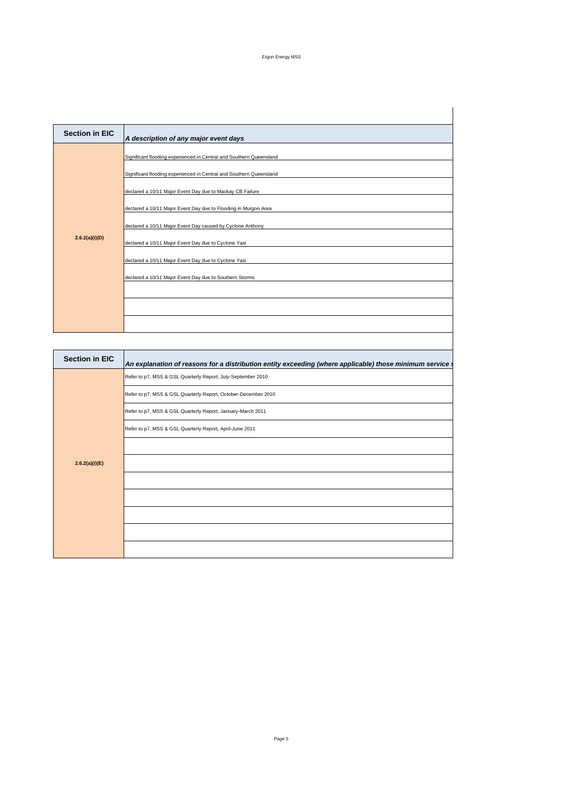## Ergon Energy MSS

| <b>Section in EIC</b> | A description of any major event days                                                                                                                                                                                                                                                                                                                                                                                                                                                                               |
|-----------------------|---------------------------------------------------------------------------------------------------------------------------------------------------------------------------------------------------------------------------------------------------------------------------------------------------------------------------------------------------------------------------------------------------------------------------------------------------------------------------------------------------------------------|
| 2.6.2(a)(i)(D)        | Significant flooding experienced in Central and Southern Queensland<br>Significant flooding experienced in Central and Southern Queensland<br>declared a 10/11 Major Event Day due to Mackay CB Failure<br>declared a 10/11 Major Event Day due to Flooding in Murgon Area<br>declared a 10/11 Major Event Day caused by Cyclone Anthony<br>declared a 10/11 Major Event Day due to Cyclone Yasi<br>declared a 10/11 Major Event Day due to Cyclone Yasi<br>declared a 10/11 Major Event Day due to Southern Storms |
|                       |                                                                                                                                                                                                                                                                                                                                                                                                                                                                                                                     |
|                       |                                                                                                                                                                                                                                                                                                                                                                                                                                                                                                                     |
| <b>Section in EIC</b> | An explanation of reasons for a distribution entity exceeding (where applicable) those minimum service                                                                                                                                                                                                                                                                                                                                                                                                              |
|                       | Refer to p7, MSS & GSL Quarterly Report, July-September 2010                                                                                                                                                                                                                                                                                                                                                                                                                                                        |

| Section in EIG | An explanation of reasons for a distribution entity exceeding (where applicable) those minimum service |
|----------------|--------------------------------------------------------------------------------------------------------|
|                | Refer to p7, MSS & GSL Quarterly Report, July-September 2010                                           |
|                | Refer to p7, MSS & GSL Quarterly Report, October-December 2010                                         |
|                | Refer to p7, MSS & GSL Quarterly Report, January-March 2011                                            |
|                | Refer to p7, MSS & GSL Quarterly Report, April-June 2011                                               |
|                |                                                                                                        |
| 2.6.2(a)(i)(E) |                                                                                                        |
|                |                                                                                                        |
|                |                                                                                                        |
|                |                                                                                                        |
|                |                                                                                                        |
|                |                                                                                                        |